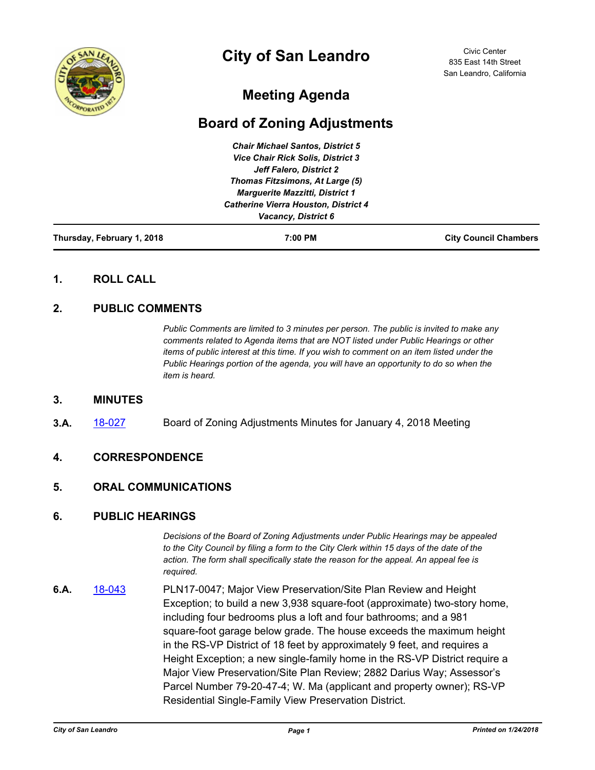

# **City of San Leandro**

Civic Center 835 East 14th Street San Leandro, California

# **Meeting Agenda**

# **Board of Zoning Adjustments**

| Thursday, February 1, 2018 | 7:00 PM                                     | <b>City Council Chambers</b> |
|----------------------------|---------------------------------------------|------------------------------|
|                            | Vacancy, District 6                         |                              |
|                            | <b>Catherine Vierra Houston, District 4</b> |                              |
|                            | <b>Marguerite Mazzitti, District 1</b>      |                              |
|                            | Thomas Fitzsimons, At Large (5)             |                              |
|                            | Jeff Falero, District 2                     |                              |
|                            | <b>Vice Chair Rick Solis, District 3</b>    |                              |
|                            | <b>Chair Michael Santos, District 5</b>     |                              |

## **1. ROLL CALL**

# **2. PUBLIC COMMENTS**

*Public Comments are limited to 3 minutes per person. The public is invited to make any comments related to Agenda items that are NOT listed under Public Hearings or other items of public interest at this time. If you wish to comment on an item listed under the Public Hearings portion of the agenda, you will have an opportunity to do so when the item is heard.*

#### **3. MINUTES**

**3.A.** [18-027](http://sanleandro.legistar.com/gateway.aspx?m=l&id=/matter.aspx?key=5613) Board of Zoning Adjustments Minutes for January 4, 2018 Meeting

#### **4. CORRESPONDENCE**

#### **5. ORAL COMMUNICATIONS**

#### **6. PUBLIC HEARINGS**

*Decisions of the Board of Zoning Adjustments under Public Hearings may be appealed to the City Council by filing a form to the City Clerk within 15 days of the date of the action. The form shall specifically state the reason for the appeal. An appeal fee is required.*

**6.A.** [18-043](http://sanleandro.legistar.com/gateway.aspx?m=l&id=/matter.aspx?key=5629) PLN17-0047; Major View Preservation/Site Plan Review and Height Exception; to build a new 3,938 square-foot (approximate) two-story home, including four bedrooms plus a loft and four bathrooms; and a 981 square-foot garage below grade. The house exceeds the maximum height in the RS-VP District of 18 feet by approximately 9 feet, and requires a Height Exception; a new single-family home in the RS-VP District require a Major View Preservation/Site Plan Review; 2882 Darius Way; Assessor's Parcel Number 79-20-47-4; W. Ma (applicant and property owner); RS-VP Residential Single-Family View Preservation District.